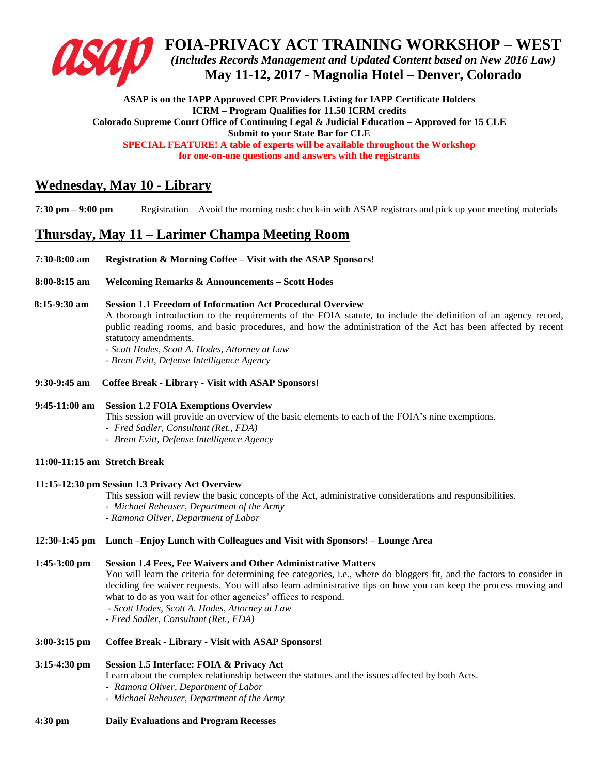

**FOIA-PRIVACY ACT TRAINING WORKSHOP – WEST** *(Includes Records Management and Updated Content based on New 2016 Law)* **May 11-12, 2017 - Magnolia Hotel – Denver, Colorado**

**ASAP is on the IAPP Approved CPE Providers Listing for IAPP Certificate Holders ICRM – Program Qualifies for 11.50 ICRM credits Colorado Supreme Court Office of Continuing Legal & Judicial Education – Approved for 15 CLE Submit to your State Bar for CLE SPECIAL FEATURE! A table of experts will be available throughout the Workshop for one-on-one questions and answers with the registrants**

# **Wednesday, May 10 - Library**

**7:30 pm – 9:00 pm** Registration – Avoid the morning rush: check-in with ASAP registrars and pick up your meeting materials

# **Thursday, May 11 – Larimer Champa Meeting Room**

- **7:30-8:00 am Registration & Morning Coffee – Visit with the ASAP Sponsors!**
- **8:00-8:15 am Welcoming Remarks & Announcements – Scott Hodes**

## **8:15-9:30 am Session 1.1 Freedom of Information Act Procedural Overview**

A thorough introduction to the requirements of the FOIA statute, to include the definition of an agency record, public reading rooms, and basic procedures, and how the administration of the Act has been affected by recent statutory amendments.

*- Scott Hodes, Scott A. Hodes, Attorney at Law*

*- Brent Evitt, Defense Intelligence Agency*

**9:30-9:45 am Coffee Break - Library - Visit with ASAP Sponsors!**

## **9:45-11:00 am Session 1.2 FOIA Exemptions Overview**

This session will provide an overview of the basic elements to each of the FOIA's nine exemptions.

- *Fred Sadler, Consultant (Ret., FDA)*
- *Brent Evitt, Defense Intelligence Agency*

## **11:00-11:15 am Stretch Break**

#### **11:15-12:30 pm Session 1.3 Privacy Act Overview**

- This session will review the basic concepts of the Act, administrative considerations and responsibilities.
- *Michael Reheuser, Department of the Army*
- *- Ramona Oliver, Department of Labor*

## **12:30-1:45 pm Lunch –Enjoy Lunch with Colleagues and Visit with Sponsors! – Lounge Area**

## **1:45-3:00 pm Session 1.4 Fees, Fee Waivers and Other Administrative Matters**

You will learn the criteria for determining fee categories, i.e., where do bloggers fit, and the factors to consider in deciding fee waiver requests. You will also learn administrative tips on how you can keep the process moving and what to do as you wait for other agencies' offices to respond.

- *- Scott Hodes, Scott A. Hodes, Attorney at Law*
- *- Fred Sadler, Consultant (Ret., FDA)*

### **3:00-3:15 pm Coffee Break - Library - Visit with ASAP Sponsors!**

## **3:15-4:30 pm Session 1.5 Interface: FOIA & Privacy Act**

Learn about the complex relationship between the statutes and the issues affected by both Acts.

- *Ramona Oliver, Department of Labor*
- *Michael Reheuser, Department of the Army*
- **4:30 pm Daily Evaluations and Program Recesses**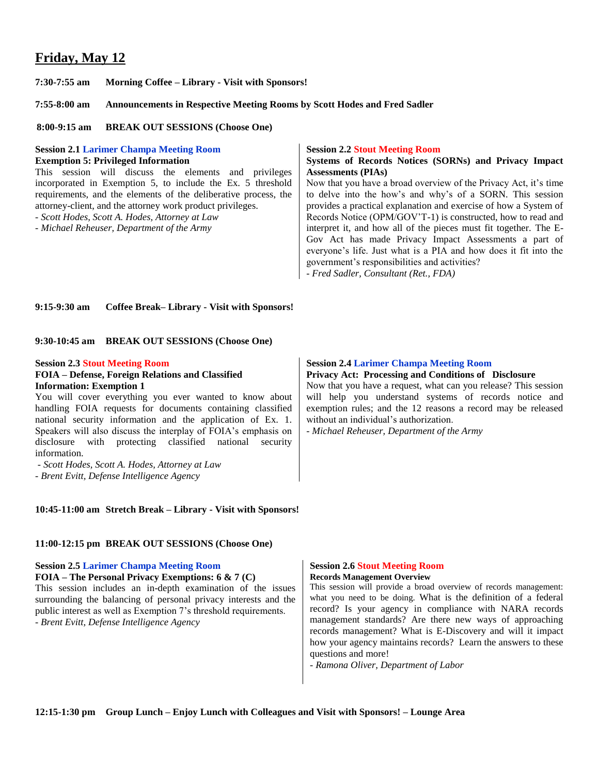# **Friday, May 12**

**7:30-7:55 am Morning Coffee – Library - Visit with Sponsors!**

**7:55-8:00 am Announcements in Respective Meeting Rooms by Scott Hodes and Fred Sadler**

 **8:00-9:15 am BREAK OUT SESSIONS (Choose One)**

**Session 2.1 Larimer Champa Meeting Room Exemption 5: Privileged Information** 

This session will discuss the elements and privileges incorporated in Exemption 5, to include the Ex. 5 threshold requirements, and the elements of the deliberative process, the attorney-client, and the attorney work product privileges.

*- Scott Hodes, Scott A. Hodes, Attorney at Law*

*- Michael Reheuser, Department of the Army*

#### **Session 2.2 Stout Meeting Room**

### **Systems of Records Notices (SORNs) and Privacy Impact Assessments (PIAs)**

Now that you have a broad overview of the Privacy Act, it's time to delve into the how's and why's of a SORN. This session provides a practical explanation and exercise of how a System of Records Notice (OPM/GOV'T-1) is constructed, how to read and interpret it, and how all of the pieces must fit together. The E-Gov Act has made Privacy Impact Assessments a part of everyone's life. Just what is a PIA and how does it fit into the government's responsibilities and activities?

*- Fred Sadler, Consultant (Ret., FDA)*

### **9:15-9:30 am Coffee Break– Library - Visit with Sponsors!**

**9:30-10:45 am BREAK OUT SESSIONS (Choose One)**

#### **Session 2.3 Stout Meeting Room**

#### **FOIA – Defense, Foreign Relations and Classified Information: Exemption 1**

You will cover everything you ever wanted to know about handling FOIA requests for documents containing classified national security information and the application of Ex. 1. Speakers will also discuss the interplay of FOIA's emphasis on disclosure with protecting classified national security information.

- *- Scott Hodes, Scott A. Hodes, Attorney at Law*
- *- Brent Evitt, Defense Intelligence Agency*

#### **10:45-11:00 am Stretch Break – Library - Visit with Sponsors!**

#### **11:00-12:15 pm BREAK OUT SESSIONS (Choose One)**

## **Session 2.5 Larimer Champa Meeting Room**

**FOIA – The Personal Privacy Exemptions: 6 & 7 (C)**  This session includes an in-depth examination of the issues surrounding the balancing of personal privacy interests and the public interest as well as Exemption 7's threshold requirements.

- *Brent Evitt, Defense Intelligence Agency*

#### **Session 2.4 Larimer Champa Meeting Room**

#### **Privacy Act: Processing and Conditions of Disclosure**

Now that you have a request, what can you release? This session will help you understand systems of records notice and exemption rules; and the 12 reasons a record may be released without an individual's authorization.

*- Michael Reheuser, Department of the Army*

## **Session 2.6 Stout Meeting Room**

**Records Management Overview** 

This session will provide a broad overview of records management: what you need to be doing. What is the definition of a federal record? Is your agency in compliance with NARA records management standards? Are there new ways of approaching records management? What is E-Discovery and will it impact how your agency maintains records? Learn the answers to these questions and more!

*- Ramona Oliver, Department of Labor*